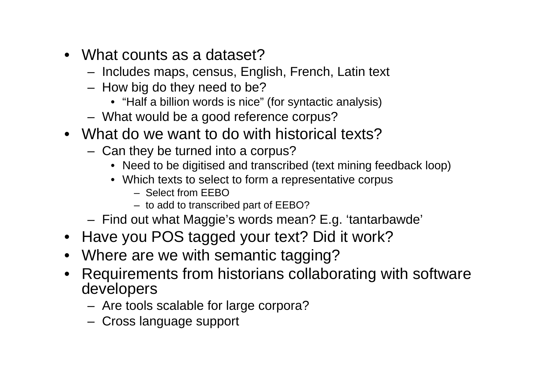- What counts as a dataset?
	- –Includes maps, census, English, French, Latin text
	- – How big do they need to be?
		- "Half a billion words is nice" (for syntactic analysis)
	- –What would be a good reference corpus?
- What do we want to do with historical texts?
	- – Can they be turned into a corpus?
		- Need to be digitised and transcribed (text mining feedback loop)
		- Which texts to select to form a representative corpus
			- Select from EEBO
			- to add to transcribed part of EEBO?
	- –Find out what Maggie's words mean? E.g. 'tantarbawde'
- Have you POS tagged your text? Did it work?
- •Where are we with semantic tagging?
- • Requirements from historians collaborating with software developers
	- –Are tools scalable for large corpora?
	- –Cross language support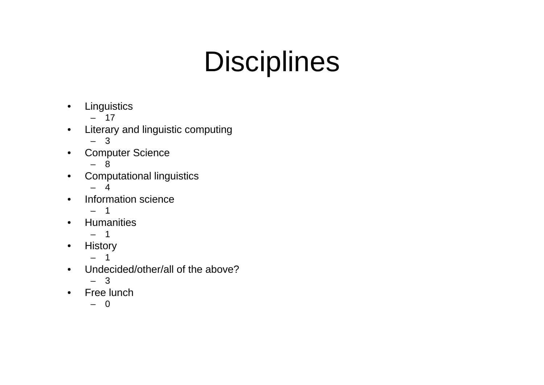# **Disciplines**

- •**Linguistics** 
	- 17
- • Literary and linguistic computing
	- 3
- • Computer Science
	- –8
- • Computational linguistics
	- 4
- • Information science
	- 1
- •**Humanities** 
	- 1
- •**History** 
	- –1
- • Undecided/other/all of the above?
	- 3
- $\bullet$  Free lunch
	- 0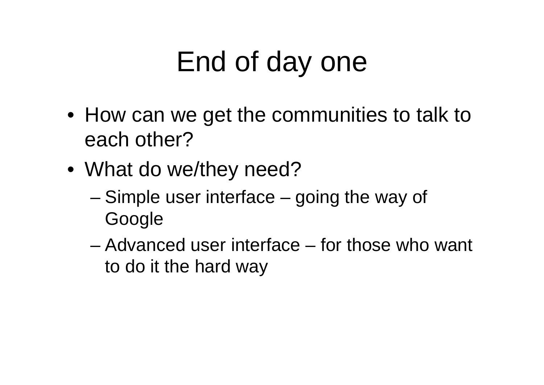# End of day one

- How can we get the communities to talk to each other?
- What do we/they need?
	- and the state of the state Simple user interface – going the way of Google
	- Advanced user interface for those who want to do it the hard way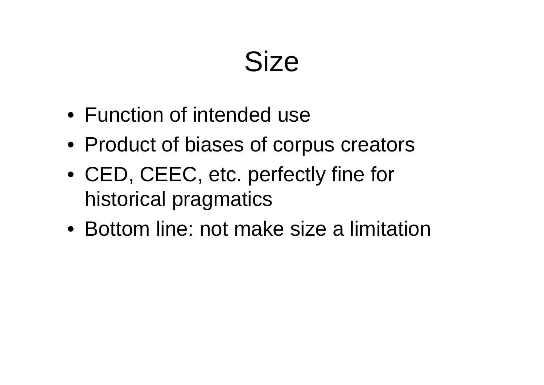#### **Size**

- Function of intended use
- Product of biases of corpus creators
- CED, CEEC, etc. perfectly fine for historical pragmatics
- Bottom line: not make size a limitation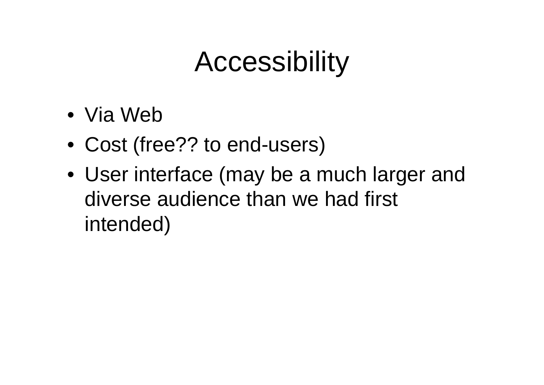### **Accessibility**

- Via Web
- Cost (free?? to end-users)
- User interface (may be a much larger and diverse audience than we had first intended)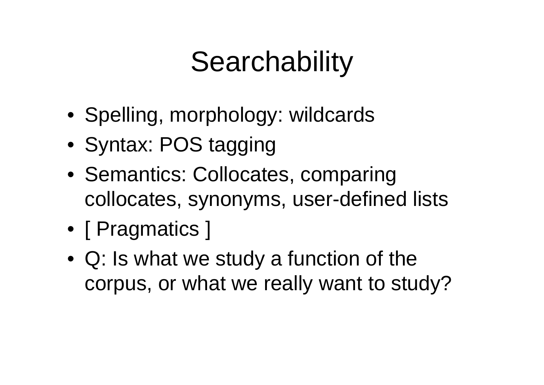# **Searchability**

- Spelling, morphology: wildcards
- Syntax: POS tagging
- Semantics: Collocates, comparing collocates, synonyms, user-defined lists
- [ Pragmatics ]
- Q: Is what we study a function of the corpus, or what we really want to study?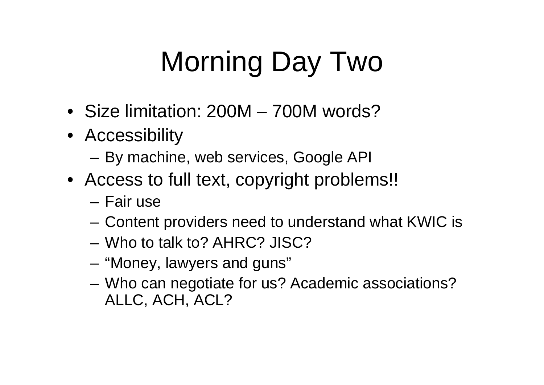# Morning Day Two

- Size limitation: 200M 700M words?
- Accessibility
	- –By machine, web services, Google API
- Access to full text, copyright problems!!
	- Fair use
	- and the state of the Content providers need to understand what KWIC is
	- Who to talk to? AHRC? JISC?
	- **Links of the Common** "Money, lawyers and guns"
	- and the state of the Who can negotiate for us? Academic associations? ALLC, ACH, ACL?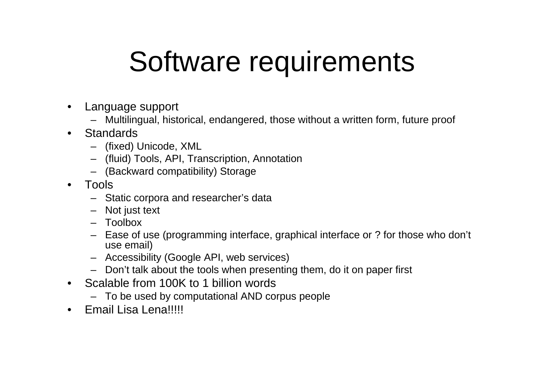#### Software requirements

- • Language support
	- Multilingual, historical, endangered, those without a written form, future proof
- •**Standards** 
	- (fixed) Unicode, XML
	- (fluid) Tools, API, Transcription, Annotation
	- (Backward compatibility) Storage
- • Tools
	- Static corpora and researcher's data
	- Not just text
	- Toolbox
	- Ease of use (programming interface, graphical interface or ? for those who don't use email)
	- Accessibility (Google API, web services)
	- Don't talk about the tools when presenting them, do it on paper first
- $\bullet$  Scalable from 100K to 1 billion words
	- To be used by computational AND corpus people
- •Email Lisa Lena!!!!!